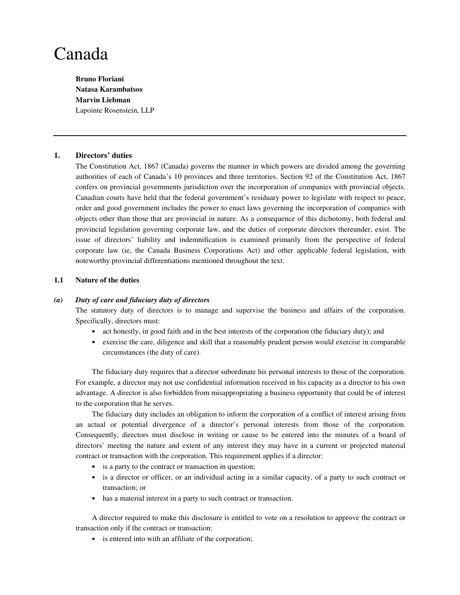# Canada

**Bruno Floriani Natasa Karambatsos Marvin Liebman**  Lapointe Rosenstein, LLP

# **1. Directors' duties**

The Constitution Act, 1867 (Canada) governs the manner in which powers are divided among the governing authorities of each of Canada's 10 provinces and three territories. Section 92 of the Constitution Act, 1867 confers on provincial governments jurisdiction over the incorporation of companies with provincial objects. Canadian courts have held that the federal government's residuary power to legislate with respect to peace, order and good government includes the power to enact laws governing the incorporation of companies with objects other than those that are provincial in nature. As a consequence of this dichotomy, both federal and provincial legislation governing corporate law, and the duties of corporate directors thereunder, exist. The issue of directors' liability and indemnification is examined primarily from the perspective of federal corporate law (ie, the Canada Business Corporations Act) and other applicable federal legislation, with noteworthy provincial differentiations mentioned throughout the text.

# **1.1 Nature of the duties**

## *(a) Duty of care and fiduciary duty of directors*

The statutory duty of directors is to manage and supervise the business and affairs of the corporation. Specifically, directors must:

- act honestly, in good faith and in the best interests of the corporation (the fiduciary duty); and
- exercise the care, diligence and skill that a reasonably prudent person would exercise in comparable circumstances (the duty of care).

The fiduciary duty requires that a director subordinate his personal interests to those of the corporation. For example, a director may not use confidential information received in his capacity as a director to his own advantage. A director is also forbidden from misappropriating a business opportunity that could be of interest to the corporation that he serves.

The fiduciary duty includes an obligation to inform the corporation of a conflict of interest arising from an actual or potential divergence of a director's personal interests from those of the corporation. Consequently, directors must disclose in writing or cause to be entered into the minutes of a board of directors' meeting the nature and extent of any interest they may have in a current or projected material contract or transaction with the corporation. This requirement applies if a director:

- is a party to the contract or transaction in question;
- is a director or officer, or an individual acting in a similar capacity, of a party to such contract or transaction; or
- has a material interest in a party to such contract or transaction.

A director required to make this disclosure is entitled to vote on a resolution to approve the contract or transaction only if the contract or transaction:

• is entered into with an affiliate of the corporation;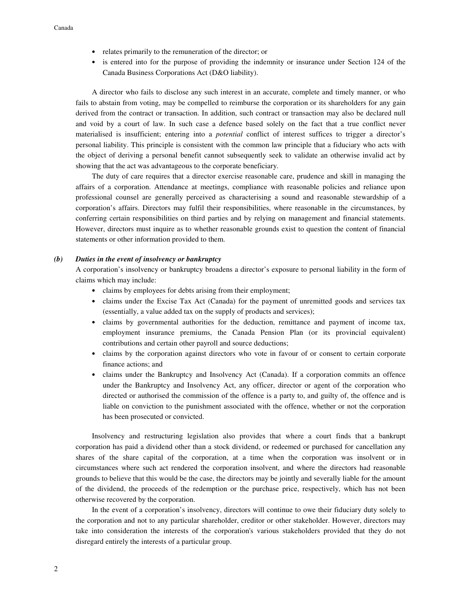- relates primarily to the remuneration of the director; or
- is entered into for the purpose of providing the indemnity or insurance under Section 124 of the Canada Business Corporations Act (D&O liability).

A director who fails to disclose any such interest in an accurate, complete and timely manner, or who fails to abstain from voting, may be compelled to reimburse the corporation or its shareholders for any gain derived from the contract or transaction. In addition, such contract or transaction may also be declared null and void by a court of law. In such case a defence based solely on the fact that a true conflict never materialised is insufficient; entering into a *potential* conflict of interest suffices to trigger a director's personal liability. This principle is consistent with the common law principle that a fiduciary who acts with the object of deriving a personal benefit cannot subsequently seek to validate an otherwise invalid act by showing that the act was advantageous to the corporate beneficiary.

The duty of care requires that a director exercise reasonable care, prudence and skill in managing the affairs of a corporation. Attendance at meetings, compliance with reasonable policies and reliance upon professional counsel are generally perceived as characterising a sound and reasonable stewardship of a corporation's affairs. Directors may fulfil their responsibilities, where reasonable in the circumstances, by conferring certain responsibilities on third parties and by relying on management and financial statements. However, directors must inquire as to whether reasonable grounds exist to question the content of financial statements or other information provided to them.

## *(b) Duties in the event of insolvency or bankruptcy*

A corporation's insolvency or bankruptcy broadens a director's exposure to personal liability in the form of claims which may include:

- claims by employees for debts arising from their employment;
- claims under the Excise Tax Act (Canada) for the payment of unremitted goods and services tax (essentially, a value added tax on the supply of products and services);
- claims by governmental authorities for the deduction, remittance and payment of income tax, employment insurance premiums, the Canada Pension Plan (or its provincial equivalent) contributions and certain other payroll and source deductions;
- claims by the corporation against directors who vote in favour of or consent to certain corporate finance actions; and
- claims under the Bankruptcy and Insolvency Act (Canada). If a corporation commits an offence under the Bankruptcy and Insolvency Act, any officer, director or agent of the corporation who directed or authorised the commission of the offence is a party to, and guilty of, the offence and is liable on conviction to the punishment associated with the offence, whether or not the corporation has been prosecuted or convicted.

Insolvency and restructuring legislation also provides that where a court finds that a bankrupt corporation has paid a dividend other than a stock dividend, or redeemed or purchased for cancellation any shares of the share capital of the corporation, at a time when the corporation was insolvent or in circumstances where such act rendered the corporation insolvent, and where the directors had reasonable grounds to believe that this would be the case, the directors may be jointly and severally liable for the amount of the dividend, the proceeds of the redemption or the purchase price, respectively, which has not been otherwise recovered by the corporation.

In the event of a corporation's insolvency, directors will continue to owe their fiduciary duty solely to the corporation and not to any particular shareholder, creditor or other stakeholder. However, directors may take into consideration the interests of the corporation's various stakeholders provided that they do not disregard entirely the interests of a particular group.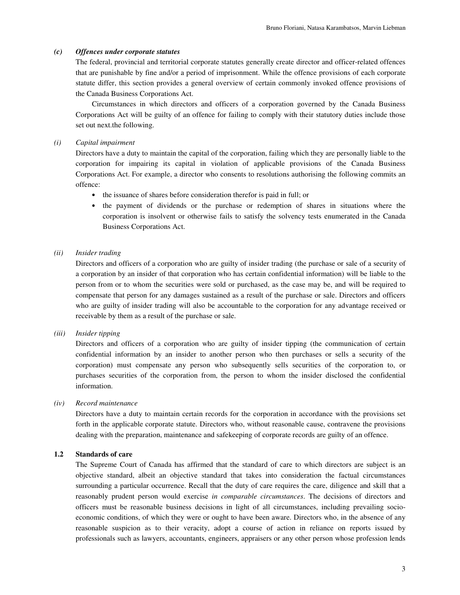## *(c) Offences under corporate statutes*

The federal, provincial and territorial corporate statutes generally create director and officer-related offences that are punishable by fine and/or a period of imprisonment. While the offence provisions of each corporate statute differ, this section provides a general overview of certain commonly invoked offence provisions of the Canada Business Corporations Act.

Circumstances in which directors and officers of a corporation governed by the Canada Business Corporations Act will be guilty of an offence for failing to comply with their statutory duties include those set out next.the following.

#### *(i) Capital impairment*

Directors have a duty to maintain the capital of the corporation, failing which they are personally liable to the corporation for impairing its capital in violation of applicable provisions of the Canada Business Corporations Act. For example, a director who consents to resolutions authorising the following commits an offence:

- the issuance of shares before consideration therefor is paid in full; or
- the payment of dividends or the purchase or redemption of shares in situations where the corporation is insolvent or otherwise fails to satisfy the solvency tests enumerated in the Canada Business Corporations Act.

## *(ii) Insider trading*

Directors and officers of a corporation who are guilty of insider trading (the purchase or sale of a security of a corporation by an insider of that corporation who has certain confidential information) will be liable to the person from or to whom the securities were sold or purchased, as the case may be, and will be required to compensate that person for any damages sustained as a result of the purchase or sale. Directors and officers who are guilty of insider trading will also be accountable to the corporation for any advantage received or receivable by them as a result of the purchase or sale.

#### *(iii) Insider tipping*

Directors and officers of a corporation who are guilty of insider tipping (the communication of certain confidential information by an insider to another person who then purchases or sells a security of the corporation) must compensate any person who subsequently sells securities of the corporation to, or purchases securities of the corporation from, the person to whom the insider disclosed the confidential information.

# *(iv) Record maintenance*

Directors have a duty to maintain certain records for the corporation in accordance with the provisions set forth in the applicable corporate statute. Directors who, without reasonable cause, contravene the provisions dealing with the preparation, maintenance and safekeeping of corporate records are guilty of an offence.

# **1.2 Standards of care**

The Supreme Court of Canada has affirmed that the standard of care to which directors are subject is an objective standard, albeit an objective standard that takes into consideration the factual circumstances surrounding a particular occurrence. Recall that the duty of care requires the care, diligence and skill that a reasonably prudent person would exercise *in comparable circumstances*. The decisions of directors and officers must be reasonable business decisions in light of all circumstances, including prevailing socioeconomic conditions, of which they were or ought to have been aware. Directors who, in the absence of any reasonable suspicion as to their veracity, adopt a course of action in reliance on reports issued by professionals such as lawyers, accountants, engineers, appraisers or any other person whose profession lends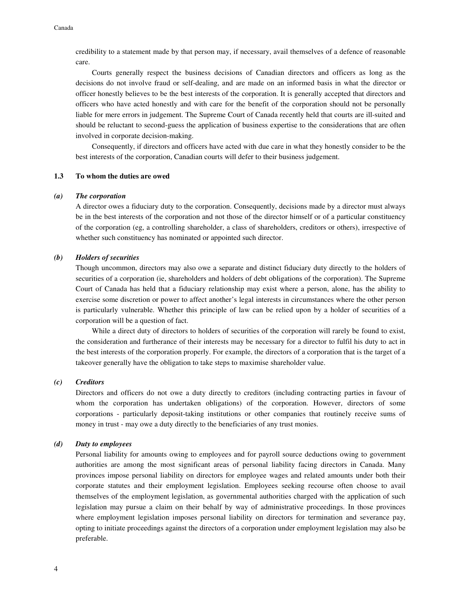credibility to a statement made by that person may, if necessary, avail themselves of a defence of reasonable care.

Courts generally respect the business decisions of Canadian directors and officers as long as the decisions do not involve fraud or self-dealing, and are made on an informed basis in what the director or officer honestly believes to be the best interests of the corporation. It is generally accepted that directors and officers who have acted honestly and with care for the benefit of the corporation should not be personally liable for mere errors in judgement. The Supreme Court of Canada recently held that courts are ill-suited and should be reluctant to second-guess the application of business expertise to the considerations that are often involved in corporate decision-making.

Consequently, if directors and officers have acted with due care in what they honestly consider to be the best interests of the corporation, Canadian courts will defer to their business judgement.

## **1.3 To whom the duties are owed**

#### *(a) The corporation*

A director owes a fiduciary duty to the corporation. Consequently, decisions made by a director must always be in the best interests of the corporation and not those of the director himself or of a particular constituency of the corporation (eg, a controlling shareholder, a class of shareholders, creditors or others), irrespective of whether such constituency has nominated or appointed such director.

## *(b) Holders of securities*

Though uncommon, directors may also owe a separate and distinct fiduciary duty directly to the holders of securities of a corporation (ie, shareholders and holders of debt obligations of the corporation). The Supreme Court of Canada has held that a fiduciary relationship may exist where a person, alone, has the ability to exercise some discretion or power to affect another's legal interests in circumstances where the other person is particularly vulnerable. Whether this principle of law can be relied upon by a holder of securities of a corporation will be a question of fact.

While a direct duty of directors to holders of securities of the corporation will rarely be found to exist, the consideration and furtherance of their interests may be necessary for a director to fulfil his duty to act in the best interests of the corporation properly. For example, the directors of a corporation that is the target of a takeover generally have the obligation to take steps to maximise shareholder value.

#### *(c) Creditors*

Directors and officers do not owe a duty directly to creditors (including contracting parties in favour of whom the corporation has undertaken obligations) of the corporation. However, directors of some corporations - particularly deposit-taking institutions or other companies that routinely receive sums of money in trust - may owe a duty directly to the beneficiaries of any trust monies.

#### *(d) Duty to employees*

Personal liability for amounts owing to employees and for payroll source deductions owing to government authorities are among the most significant areas of personal liability facing directors in Canada. Many provinces impose personal liability on directors for employee wages and related amounts under both their corporate statutes and their employment legislation. Employees seeking recourse often choose to avail themselves of the employment legislation, as governmental authorities charged with the application of such legislation may pursue a claim on their behalf by way of administrative proceedings. In those provinces where employment legislation imposes personal liability on directors for termination and severance pay, opting to initiate proceedings against the directors of a corporation under employment legislation may also be preferable.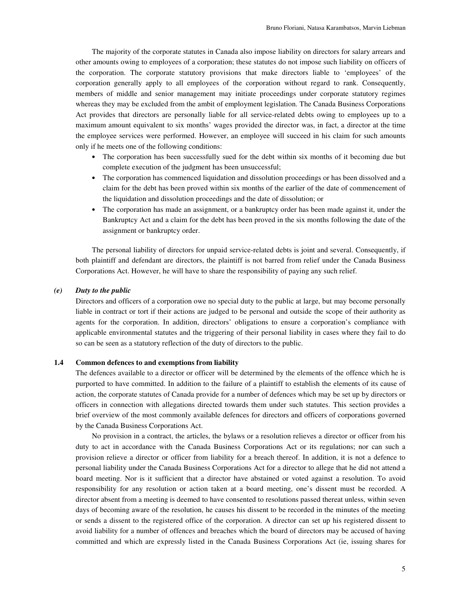The majority of the corporate statutes in Canada also impose liability on directors for salary arrears and other amounts owing to employees of a corporation; these statutes do not impose such liability on officers of the corporation. The corporate statutory provisions that make directors liable to 'employees' of the corporation generally apply to all employees of the corporation without regard to rank. Consequently, members of middle and senior management may initiate proceedings under corporate statutory regimes whereas they may be excluded from the ambit of employment legislation. The Canada Business Corporations Act provides that directors are personally liable for all service-related debts owing to employees up to a maximum amount equivalent to six months' wages provided the director was, in fact, a director at the time the employee services were performed. However, an employee will succeed in his claim for such amounts only if he meets one of the following conditions:

- The corporation has been successfully sued for the debt within six months of it becoming due but complete execution of the judgment has been unsuccessful;
- The corporation has commenced liquidation and dissolution proceedings or has been dissolved and a claim for the debt has been proved within six months of the earlier of the date of commencement of the liquidation and dissolution proceedings and the date of dissolution; or
- The corporation has made an assignment, or a bankruptcy order has been made against it, under the Bankruptcy Act and a claim for the debt has been proved in the six months following the date of the assignment or bankruptcy order.

The personal liability of directors for unpaid service-related debts is joint and several. Consequently, if both plaintiff and defendant are directors, the plaintiff is not barred from relief under the Canada Business Corporations Act. However, he will have to share the responsibility of paying any such relief.

#### *(e) Duty to the public*

Directors and officers of a corporation owe no special duty to the public at large, but may become personally liable in contract or tort if their actions are judged to be personal and outside the scope of their authority as agents for the corporation. In addition, directors' obligations to ensure a corporation's compliance with applicable environmental statutes and the triggering of their personal liability in cases where they fail to do so can be seen as a statutory reflection of the duty of directors to the public.

#### **1.4 Common defences to and exemptions from liability**

The defences available to a director or officer will be determined by the elements of the offence which he is purported to have committed. In addition to the failure of a plaintiff to establish the elements of its cause of action, the corporate statutes of Canada provide for a number of defences which may be set up by directors or officers in connection with allegations directed towards them under such statutes. This section provides a brief overview of the most commonly available defences for directors and officers of corporations governed by the Canada Business Corporations Act.

No provision in a contract, the articles, the bylaws or a resolution relieves a director or officer from his duty to act in accordance with the Canada Business Corporations Act or its regulations; nor can such a provision relieve a director or officer from liability for a breach thereof. In addition, it is not a defence to personal liability under the Canada Business Corporations Act for a director to allege that he did not attend a board meeting. Nor is it sufficient that a director have abstained or voted against a resolution. To avoid responsibility for any resolution or action taken at a board meeting, one's dissent must be recorded. A director absent from a meeting is deemed to have consented to resolutions passed thereat unless, within seven days of becoming aware of the resolution, he causes his dissent to be recorded in the minutes of the meeting or sends a dissent to the registered office of the corporation. A director can set up his registered dissent to avoid liability for a number of offences and breaches which the board of directors may be accused of having committed and which are expressly listed in the Canada Business Corporations Act (ie, issuing shares for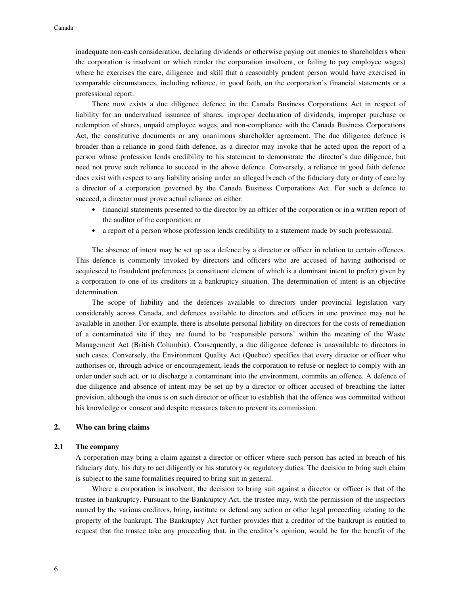inadequate non-cash consideration, declaring dividends or otherwise paying out monies to shareholders when the corporation is insolvent or which render the corporation insolvent, or failing to pay employee wages) where he exercises the care, diligence and skill that a reasonably prudent person would have exercised in comparable circumstances, including reliance, in good faith, on the corporation's financial statements or a professional report.

There now exists a due diligence defence in the Canada Business Corporations Act in respect of liability for an undervalued issuance of shares, improper declaration of dividends, improper purchase or redemption of shares, unpaid employee wages, and non-compliance with the Canada Business Corporations Act, the constitutive documents or any unanimous shareholder agreement. The due diligence defence is broader than a reliance in good faith defence, as a director may invoke that he acted upon the report of a person whose profession lends credibility to his statement to demonstrate the director's due diligence, but need not prove such reliance to succeed in the above defence. Conversely, a reliance in good faith defence does exist with respect to any liability arising under an alleged breach of the fiduciary duty or duty of care by a director of a corporation governed by the Canada Business Corporations Act. For such a defence to succeed, a director must prove actual reliance on either:

- financial statements presented to the director by an officer of the corporation or in a written report of the auditor of the corporation; or
- a report of a person whose profession lends credibility to a statement made by such professional.

The absence of intent may be set up as a defence by a director or officer in relation to certain offences. This defence is commonly invoked by directors and officers who are accused of having authorised or acquiesced to fraudulent preferences (a constituent element of which is a dominant intent to prefer) given by a corporation to one of its creditors in a bankruptcy situation. The determination of intent is an objective determination.

The scope of liability and the defences available to directors under provincial legislation vary considerably across Canada, and defences available to directors and officers in one province may not be available in another. For example, there is absolute personal liability on directors for the costs of remediation of a contaminated site if they are found to be 'responsible persons' within the meaning of the Waste Management Act (British Columbia). Consequently, a due diligence defence is unavailable to directors in such cases. Conversely, the Environment Quality Act (Quebec) specifies that every director or officer who authorises or, through advice or encouragement, leads the corporation to refuse or neglect to comply with an order under such act, or to discharge a contaminant into the environment, commits an offence. A defence of due diligence and absence of intent may be set up by a director or officer accused of breaching the latter provision, although the onus is on such director or officer to establish that the offence was committed without his knowledge or consent and despite measures taken to prevent its commission.

## **2. Who can bring claims**

## **2.1 The company**

A corporation may bring a claim against a director or officer where such person has acted in breach of his fiduciary duty, his duty to act diligently or his statutory or regulatory duties. The decision to bring such claim is subject to the same formalities required to bring suit in general.

Where a corporation is insolvent, the decision to bring suit against a director or officer is that of the trustee in bankruptcy. Pursuant to the Bankruptcy Act, the trustee may, with the permission of the inspectors named by the various creditors, bring, institute or defend any action or other legal proceeding relating to the property of the bankrupt. The Bankruptcy Act further provides that a creditor of the bankrupt is entitled to request that the trustee take any proceeding that, in the creditor's opinion, would be for the benefit of the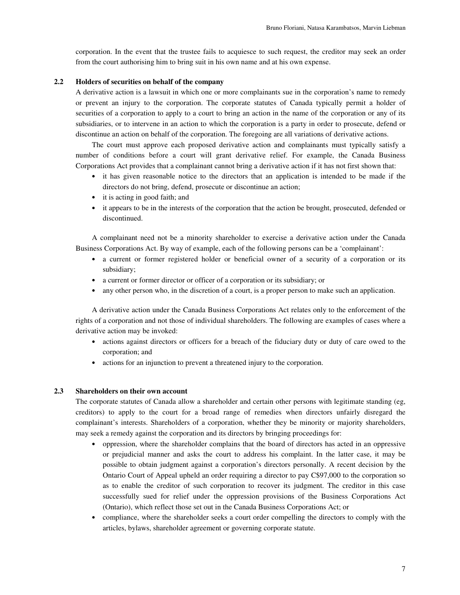corporation. In the event that the trustee fails to acquiesce to such request, the creditor may seek an order from the court authorising him to bring suit in his own name and at his own expense.

## **2.2 Holders of securities on behalf of the company**

A derivative action is a lawsuit in which one or more complainants sue in the corporation's name to remedy or prevent an injury to the corporation. The corporate statutes of Canada typically permit a holder of securities of a corporation to apply to a court to bring an action in the name of the corporation or any of its subsidiaries, or to intervene in an action to which the corporation is a party in order to prosecute, defend or discontinue an action on behalf of the corporation. The foregoing are all variations of derivative actions.

The court must approve each proposed derivative action and complainants must typically satisfy a number of conditions before a court will grant derivative relief. For example, the Canada Business Corporations Act provides that a complainant cannot bring a derivative action if it has not first shown that:

- it has given reasonable notice to the directors that an application is intended to be made if the directors do not bring, defend, prosecute or discontinue an action;
- it is acting in good faith; and
- it appears to be in the interests of the corporation that the action be brought, prosecuted, defended or discontinued.

A complainant need not be a minority shareholder to exercise a derivative action under the Canada Business Corporations Act. By way of example, each of the following persons can be a 'complainant':

- a current or former registered holder or beneficial owner of a security of a corporation or its subsidiary;
- a current or former director or officer of a corporation or its subsidiary; or
- any other person who, in the discretion of a court, is a proper person to make such an application.

A derivative action under the Canada Business Corporations Act relates only to the enforcement of the rights of a corporation and not those of individual shareholders. The following are examples of cases where a derivative action may be invoked:

- actions against directors or officers for a breach of the fiduciary duty or duty of care owed to the corporation; and
- actions for an injunction to prevent a threatened injury to the corporation.

#### **2.3 Shareholders on their own account**

The corporate statutes of Canada allow a shareholder and certain other persons with legitimate standing (eg, creditors) to apply to the court for a broad range of remedies when directors unfairly disregard the complainant's interests. Shareholders of a corporation, whether they be minority or majority shareholders, may seek a remedy against the corporation and its directors by bringing proceedings for:

- oppression, where the shareholder complains that the board of directors has acted in an oppressive or prejudicial manner and asks the court to address his complaint. In the latter case, it may be possible to obtain judgment against a corporation's directors personally. A recent decision by the Ontario Court of Appeal upheld an order requiring a director to pay C\$97,000 to the corporation so as to enable the creditor of such corporation to recover its judgment. The creditor in this case successfully sued for relief under the oppression provisions of the Business Corporations Act (Ontario), which reflect those set out in the Canada Business Corporations Act; or
- compliance, where the shareholder seeks a court order compelling the directors to comply with the articles, bylaws, shareholder agreement or governing corporate statute.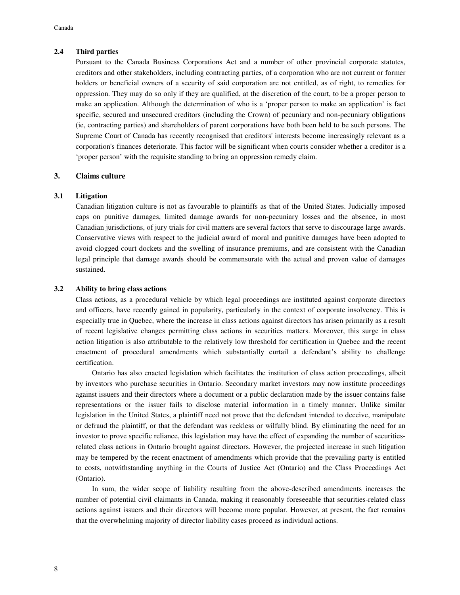# **2.4 Third parties**

Pursuant to the Canada Business Corporations Act and a number of other provincial corporate statutes, creditors and other stakeholders, including contracting parties, of a corporation who are not current or former holders or beneficial owners of a security of said corporation are not entitled, as of right, to remedies for oppression. They may do so only if they are qualified, at the discretion of the court, to be a proper person to make an application. Although the determination of who is a 'proper person to make an application' is fact specific, secured and unsecured creditors (including the Crown) of pecuniary and non-pecuniary obligations (ie, contracting parties) and shareholders of parent corporations have both been held to be such persons. The Supreme Court of Canada has recently recognised that creditors' interests become increasingly relevant as a corporation's finances deteriorate. This factor will be significant when courts consider whether a creditor is a 'proper person' with the requisite standing to bring an oppression remedy claim.

# **3. Claims culture**

## **3.1 Litigation**

Canadian litigation culture is not as favourable to plaintiffs as that of the United States. Judicially imposed caps on punitive damages, limited damage awards for non-pecuniary losses and the absence, in most Canadian jurisdictions, of jury trials for civil matters are several factors that serve to discourage large awards. Conservative views with respect to the judicial award of moral and punitive damages have been adopted to avoid clogged court dockets and the swelling of insurance premiums, and are consistent with the Canadian legal principle that damage awards should be commensurate with the actual and proven value of damages sustained.

# **3.2 Ability to bring class actions**

Class actions, as a procedural vehicle by which legal proceedings are instituted against corporate directors and officers, have recently gained in popularity, particularly in the context of corporate insolvency. This is especially true in Quebec, where the increase in class actions against directors has arisen primarily as a result of recent legislative changes permitting class actions in securities matters. Moreover, this surge in class action litigation is also attributable to the relatively low threshold for certification in Quebec and the recent enactment of procedural amendments which substantially curtail a defendant's ability to challenge certification.

Ontario has also enacted legislation which facilitates the institution of class action proceedings, albeit by investors who purchase securities in Ontario. Secondary market investors may now institute proceedings against issuers and their directors where a document or a public declaration made by the issuer contains false representations or the issuer fails to disclose material information in a timely manner. Unlike similar legislation in the United States, a plaintiff need not prove that the defendant intended to deceive, manipulate or defraud the plaintiff, or that the defendant was reckless or wilfully blind. By eliminating the need for an investor to prove specific reliance, this legislation may have the effect of expanding the number of securitiesrelated class actions in Ontario brought against directors. However, the projected increase in such litigation may be tempered by the recent enactment of amendments which provide that the prevailing party is entitled to costs, notwithstanding anything in the Courts of Justice Act (Ontario) and the Class Proceedings Act (Ontario).

In sum, the wider scope of liability resulting from the above-described amendments increases the number of potential civil claimants in Canada, making it reasonably foreseeable that securities-related class actions against issuers and their directors will become more popular. However, at present, the fact remains that the overwhelming majority of director liability cases proceed as individual actions.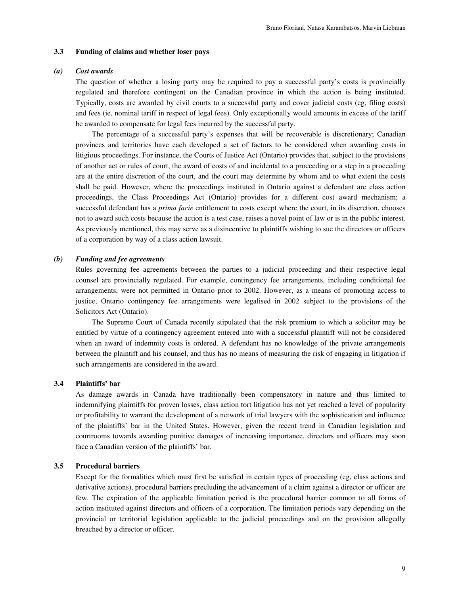#### **3.3 Funding of claims and whether loser pays**

### *(a) Cost awards*

The question of whether a losing party may be required to pay a successful party's costs is provincially regulated and therefore contingent on the Canadian province in which the action is being instituted. Typically, costs are awarded by civil courts to a successful party and cover judicial costs (eg, filing costs) and fees (ie, nominal tariff in respect of legal fees). Only exceptionally would amounts in excess of the tariff be awarded to compensate for legal fees incurred by the successful party.

The percentage of a successful party's expenses that will be recoverable is discretionary; Canadian provinces and territories have each developed a set of factors to be considered when awarding costs in litigious proceedings. For instance, the Courts of Justice Act (Ontario) provides that, subject to the provisions of another act or rules of court, the award of costs of and incidental to a proceeding or a step in a proceeding are at the entire discretion of the court, and the court may determine by whom and to what extent the costs shall be paid. However, where the proceedings instituted in Ontario against a defendant are class action proceedings, the Class Proceedings Act (Ontario) provides for a different cost award mechanism; a successful defendant has a *prima facie* entitlement to costs except where the court, in its discretion, chooses not to award such costs because the action is a test case, raises a novel point of law or is in the public interest. As previously mentioned, this may serve as a disincentive to plaintiffs wishing to sue the directors or officers of a corporation by way of a class action lawsuit.

#### *(b) Funding and fee agreements*

Rules governing fee agreements between the parties to a judicial proceeding and their respective legal counsel are provincially regulated. For example, contingency fee arrangements, including conditional fee arrangements, were not permitted in Ontario prior to 2002. However, as a means of promoting access to justice, Ontario contingency fee arrangements were legalised in 2002 subject to the provisions of the Solicitors Act (Ontario).

The Supreme Court of Canada recently stipulated that the risk premium to which a solicitor may be entitled by virtue of a contingency agreement entered into with a successful plaintiff will not be considered when an award of indemnity costs is ordered. A defendant has no knowledge of the private arrangements between the plaintiff and his counsel, and thus has no means of measuring the risk of engaging in litigation if such arrangements are considered in the award.

## **3.4 Plaintiffs' bar**

As damage awards in Canada have traditionally been compensatory in nature and thus limited to indemnifying plaintiffs for proven losses, class action tort litigation has not yet reached a level of popularity or profitability to warrant the development of a network of trial lawyers with the sophistication and influence of the plaintiffs' bar in the United States. However, given the recent trend in Canadian legislation and courtrooms towards awarding punitive damages of increasing importance, directors and officers may soon face a Canadian version of the plaintiffs' bar.

## **3.5 Procedural barriers**

Except for the formalities which must first be satisfied in certain types of proceeding (eg, class actions and derivative actions), procedural barriers precluding the advancement of a claim against a director or officer are few. The expiration of the applicable limitation period is the procedural barrier common to all forms of action instituted against directors and officers of a corporation. The limitation periods vary depending on the provincial or territorial legislation applicable to the judicial proceedings and on the provision allegedly breached by a director or officer.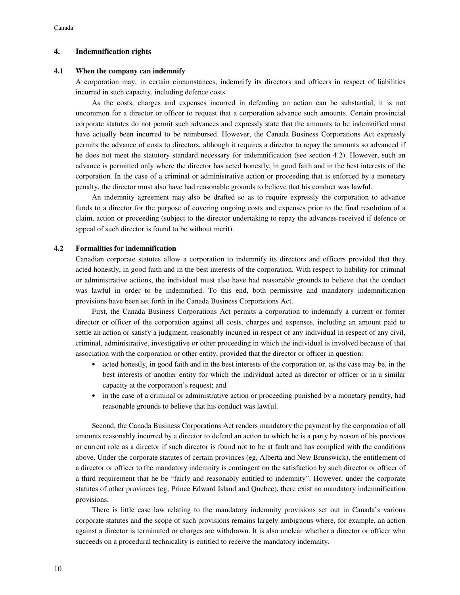#### **4. Indemnification rights**

#### **4.1 When the company can indemnify**

A corporation may, in certain circumstances, indemnify its directors and officers in respect of liabilities incurred in such capacity, including defence costs.

As the costs, charges and expenses incurred in defending an action can be substantial, it is not uncommon for a director or officer to request that a corporation advance such amounts. Certain provincial corporate statutes do not permit such advances and expressly state that the amounts to be indemnified must have actually been incurred to be reimbursed. However, the Canada Business Corporations Act expressly permits the advance of costs to directors, although it requires a director to repay the amounts so advanced if he does not meet the statutory standard necessary for indemnification (see section 4.2). However, such an advance is permitted only where the director has acted honestly, in good faith and in the best interests of the corporation. In the case of a criminal or administrative action or proceeding that is enforced by a monetary penalty, the director must also have had reasonable grounds to believe that his conduct was lawful.

An indemnity agreement may also be drafted so as to require expressly the corporation to advance funds to a director for the purpose of covering ongoing costs and expenses prior to the final resolution of a claim, action or proceeding (subject to the director undertaking to repay the advances received if defence or appeal of such director is found to be without merit).

#### **4.2 Formalities for indemnification**

Canadian corporate statutes allow a corporation to indemnify its directors and officers provided that they acted honestly, in good faith and in the best interests of the corporation. With respect to liability for criminal or administrative actions, the individual must also have had reasonable grounds to believe that the conduct was lawful in order to be indemnified. To this end, both permissive and mandatory indemnification provisions have been set forth in the Canada Business Corporations Act.

First, the Canada Business Corporations Act permits a corporation to indemnify a current or former director or officer of the corporation against all costs, charges and expenses, including an amount paid to settle an action or satisfy a judgment, reasonably incurred in respect of any individual in respect of any civil, criminal, administrative, investigative or other proceeding in which the individual is involved because of that association with the corporation or other entity, provided that the director or officer in question:

- acted honestly, in good faith and in the best interests of the corporation or, as the case may be, in the best interests of another entity for which the individual acted as director or officer or in a similar capacity at the corporation's request; and
- in the case of a criminal or administrative action or proceeding punished by a monetary penalty, had reasonable grounds to believe that his conduct was lawful.

Second, the Canada Business Corporations Act renders mandatory the payment by the corporation of all amounts reasonably incurred by a director to defend an action to which he is a party by reason of his previous or current role as a director if such director is found not to be at fault and has complied with the conditions above. Under the corporate statutes of certain provinces (eg, Alberta and New Brunswick), the entitlement of a director or officer to the mandatory indemnity is contingent on the satisfaction by such director or officer of a third requirement that he be "fairly and reasonably entitled to indemnity". However, under the corporate statutes of other provinces (eg, Prince Edward Island and Quebec), there exist no mandatory indemnification provisions.

There is little case law relating to the mandatory indemnity provisions set out in Canada's various corporate statutes and the scope of such provisions remains largely ambiguous where, for example, an action against a director is terminated or charges are withdrawn. It is also unclear whether a director or officer who succeeds on a procedural technicality is entitled to receive the mandatory indemnity.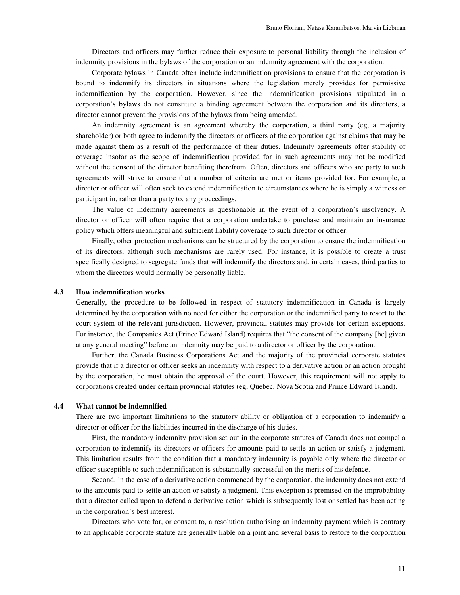Directors and officers may further reduce their exposure to personal liability through the inclusion of indemnity provisions in the bylaws of the corporation or an indemnity agreement with the corporation.

Corporate bylaws in Canada often include indemnification provisions to ensure that the corporation is bound to indemnify its directors in situations where the legislation merely provides for permissive indemnification by the corporation. However, since the indemnification provisions stipulated in a corporation's bylaws do not constitute a binding agreement between the corporation and its directors, a director cannot prevent the provisions of the bylaws from being amended.

An indemnity agreement is an agreement whereby the corporation, a third party (eg, a majority shareholder) or both agree to indemnify the directors or officers of the corporation against claims that may be made against them as a result of the performance of their duties. Indemnity agreements offer stability of coverage insofar as the scope of indemnification provided for in such agreements may not be modified without the consent of the director benefiting therefrom. Often, directors and officers who are party to such agreements will strive to ensure that a number of criteria are met or items provided for. For example, a director or officer will often seek to extend indemnification to circumstances where he is simply a witness or participant in, rather than a party to, any proceedings.

The value of indemnity agreements is questionable in the event of a corporation's insolvency. A director or officer will often require that a corporation undertake to purchase and maintain an insurance policy which offers meaningful and sufficient liability coverage to such director or officer.

Finally, other protection mechanisms can be structured by the corporation to ensure the indemnification of its directors, although such mechanisms are rarely used. For instance, it is possible to create a trust specifically designed to segregate funds that will indemnify the directors and, in certain cases, third parties to whom the directors would normally be personally liable.

#### **4.3 How indemnification works**

Generally, the procedure to be followed in respect of statutory indemnification in Canada is largely determined by the corporation with no need for either the corporation or the indemnified party to resort to the court system of the relevant jurisdiction. However, provincial statutes may provide for certain exceptions. For instance, the Companies Act (Prince Edward Island) requires that "the consent of the company [be] given at any general meeting" before an indemnity may be paid to a director or officer by the corporation.

Further, the Canada Business Corporations Act and the majority of the provincial corporate statutes provide that if a director or officer seeks an indemnity with respect to a derivative action or an action brought by the corporation, he must obtain the approval of the court. However, this requirement will not apply to corporations created under certain provincial statutes (eg, Quebec, Nova Scotia and Prince Edward Island).

#### **4.4 What cannot be indemnified**

There are two important limitations to the statutory ability or obligation of a corporation to indemnify a director or officer for the liabilities incurred in the discharge of his duties.

First, the mandatory indemnity provision set out in the corporate statutes of Canada does not compel a corporation to indemnify its directors or officers for amounts paid to settle an action or satisfy a judgment. This limitation results from the condition that a mandatory indemnity is payable only where the director or officer susceptible to such indemnification is substantially successful on the merits of his defence.

Second, in the case of a derivative action commenced by the corporation, the indemnity does not extend to the amounts paid to settle an action or satisfy a judgment. This exception is premised on the improbability that a director called upon to defend a derivative action which is subsequently lost or settled has been acting in the corporation's best interest.

Directors who vote for, or consent to, a resolution authorising an indemnity payment which is contrary to an applicable corporate statute are generally liable on a joint and several basis to restore to the corporation